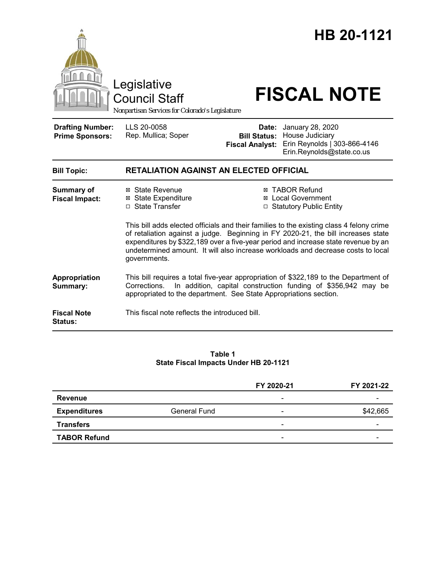

#### **Table 1 State Fiscal Impacts Under HB 20-1121**

|                     |                     | FY 2020-21               | FY 2021-22 |
|---------------------|---------------------|--------------------------|------------|
| Revenue             |                     | $\overline{\phantom{0}}$ |            |
| <b>Expenditures</b> | <b>General Fund</b> | $\overline{\phantom{0}}$ | \$42,665   |
| <b>Transfers</b>    |                     | $\overline{\phantom{a}}$ | -          |
| <b>TABOR Refund</b> |                     | $\overline{\phantom{a}}$ | -          |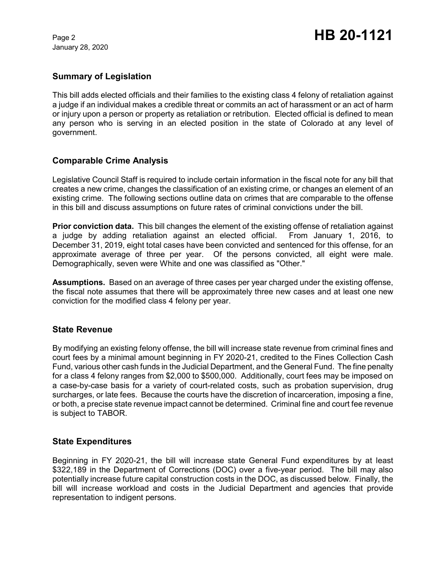January 28, 2020

# **Summary of Legislation**

This bill adds elected officials and their families to the existing class 4 felony of retaliation against a judge if an individual makes a credible threat or commits an act of harassment or an act of harm or injury upon a person or property as retaliation or retribution. Elected official is defined to mean any person who is serving in an elected position in the state of Colorado at any level of government.

# **Comparable Crime Analysis**

Legislative Council Staff is required to include certain information in the fiscal note for any bill that creates a new crime, changes the classification of an existing crime, or changes an element of an existing crime. The following sections outline data on crimes that are comparable to the offense in this bill and discuss assumptions on future rates of criminal convictions under the bill.

**Prior conviction data.** This bill changes the element of the existing offense of retaliation against a judge by adding retaliation against an elected official. From January 1, 2016, to December 31, 2019, eight total cases have been convicted and sentenced for this offense, for an approximate average of three per year. Of the persons convicted, all eight were male. Demographically, seven were White and one was classified as "Other."

**Assumptions.** Based on an average of three cases per year charged under the existing offense, the fiscal note assumes that there will be approximately three new cases and at least one new conviction for the modified class 4 felony per year.

#### **State Revenue**

By modifying an existing felony offense, the bill will increase state revenue from criminal fines and court fees by a minimal amount beginning in FY 2020-21, credited to the Fines Collection Cash Fund, various other cash funds in the Judicial Department, and the General Fund. The fine penalty for a class 4 felony ranges from \$2,000 to \$500,000. Additionally, court fees may be imposed on a case-by-case basis for a variety of court-related costs, such as probation supervision, drug surcharges, or late fees. Because the courts have the discretion of incarceration, imposing a fine, or both, a precise state revenue impact cannot be determined. Criminal fine and court fee revenue is subject to TABOR.

#### **State Expenditures**

Beginning in FY 2020-21, the bill will increase state General Fund expenditures by at least \$322,189 in the Department of Corrections (DOC) over a five-year period. The bill may also potentially increase future capital construction costs in the DOC, as discussed below. Finally, the bill will increase workload and costs in the Judicial Department and agencies that provide representation to indigent persons.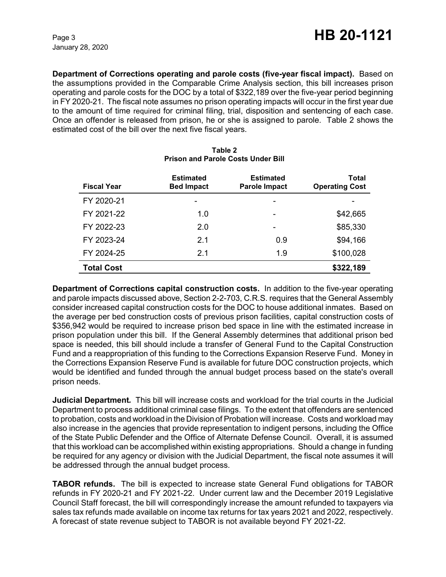January 28, 2020

**Department of Corrections operating and parole costs (five-year fiscal impact).** Based on the assumptions provided in the Comparable Crime Analysis section, this bill increases prison operating and parole costs for the DOC by a total of \$322,189 over the five-year period beginning in FY 2020-21. The fiscal note assumes no prison operating impacts will occur in the first year due to the amount of time required for criminal filing, trial, disposition and sentencing of each case. Once an offender is released from prison, he or she is assigned to parole. Table 2 shows the estimated cost of the bill over the next five fiscal years.

| <b>Fiscal Year</b> | <b>Estimated</b><br><b>Bed Impact</b> | <b>Estimated</b><br><b>Parole Impact</b> | Total<br><b>Operating Cost</b> |
|--------------------|---------------------------------------|------------------------------------------|--------------------------------|
| FY 2020-21         |                                       | -                                        |                                |
| FY 2021-22         | 1.0                                   |                                          | \$42,665                       |
| FY 2022-23         | 2.0                                   |                                          | \$85,330                       |
| FY 2023-24         | 2.1                                   | 0.9                                      | \$94,166                       |
| FY 2024-25         | 2.1                                   | 1.9                                      | \$100,028                      |
| <b>Total Cost</b>  |                                       |                                          | \$322,189                      |

### **Table 2 Prison and Parole Costs Under Bill**

**Department of Corrections capital construction costs.** In addition to the five-year operating and parole impacts discussed above, Section 2-2-703, C.R.S. requires that the General Assembly consider increased capital construction costs for the DOC to house additional inmates. Based on the average per bed construction costs of previous prison facilities, capital construction costs of \$356,942 would be required to increase prison bed space in line with the estimated increase in prison population under this bill. If the General Assembly determines that additional prison bed space is needed, this bill should include a transfer of General Fund to the Capital Construction Fund and a reappropriation of this funding to the Corrections Expansion Reserve Fund. Money in the Corrections Expansion Reserve Fund is available for future DOC construction projects, which would be identified and funded through the annual budget process based on the state's overall prison needs.

**Judicial Department***.* This bill will increase costs and workload for the trial courts in the Judicial Department to process additional criminal case filings. To the extent that offenders are sentenced to probation, costs and workload in the Division of Probation will increase. Costs and workload may also increase in the agencies that provide representation to indigent persons, including the Office of the State Public Defender and the Office of Alternate Defense Council. Overall, it is assumed that this workload can be accomplished within existing appropriations. Should a change in funding be required for any agency or division with the Judicial Department, the fiscal note assumes it will be addressed through the annual budget process.

**TABOR refunds.** The bill is expected to increase state General Fund obligations for TABOR refunds in FY 2020-21 and FY 2021-22. Under current law and the December 2019 Legislative Council Staff forecast, the bill will correspondingly increase the amount refunded to taxpayers via sales tax refunds made available on income tax returns for tax years 2021 and 2022, respectively. A forecast of state revenue subject to TABOR is not available beyond FY 2021-22.